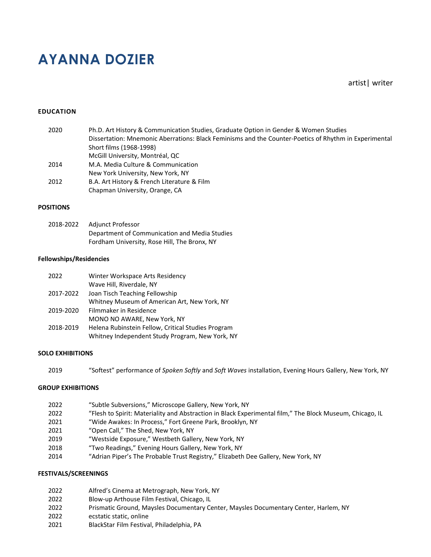# **AYANNA DOZIER**

artist| writer

# **EDUCATION**

| 2020 | Ph.D. Art History & Communication Studies, Graduate Option in Gender & Women Studies                  |
|------|-------------------------------------------------------------------------------------------------------|
|      | Dissertation: Mnemonic Aberrations: Black Feminisms and the Counter-Poetics of Rhythm in Experimental |
|      | Short films (1968-1998)                                                                               |
|      | McGill University, Montréal, QC                                                                       |
| 2014 | M.A. Media Culture & Communication                                                                    |
|      | New York University, New York, NY                                                                     |
| 2012 | B.A. Art History & French Literature & Film                                                           |
|      | Chapman University, Orange, CA                                                                        |

# **POSITIONS**

| 2018-2022 | Adiunct Professor                             |
|-----------|-----------------------------------------------|
|           | Department of Communication and Media Studies |
|           | Fordham University, Rose Hill, The Bronx, NY  |

## **Fellowships/Residencies**

| 2022      | Winter Workspace Arts Residency                    |
|-----------|----------------------------------------------------|
|           | Wave Hill, Riverdale, NY                           |
| 2017-2022 | Joan Tisch Teaching Fellowship                     |
|           | Whitney Museum of American Art, New York, NY       |
| 2019-2020 | Filmmaker in Residence                             |
|           | MONO NO AWARE, New York, NY                        |
| 2018-2019 | Helena Rubinstein Fellow, Critical Studies Program |
|           | Whitney Independent Study Program, New York, NY    |

# **SOLO EXHIBITIONS**

2019 "Softest" performance of *Spoken Softly* and *Soft Waves* installation, Evening Hours Gallery, New York, NY

# **GROUP EXHIBITIONS**

| 2022 | "Subtle Subversions," Microscope Gallery, New York, NY                                                   |
|------|----------------------------------------------------------------------------------------------------------|
| 2022 | "Flesh to Spirit: Materiality and Abstraction in Black Experimental film," The Block Museum, Chicago, IL |
| 2021 | "Wide Awakes: In Process," Fort Greene Park, Brooklyn, NY                                                |
| 2021 | "Open Call," The Shed, New York, NY                                                                      |
| 2019 | "Westside Exposure," Westbeth Gallery, New York, NY                                                      |
| 2018 | "Two Readings," Evening Hours Gallery, New York, NY                                                      |
| 2014 | "Adrian Piper's The Probable Trust Registry," Elizabeth Dee Gallery, New York, NY                        |

### **FESTIVALS/SCREENINGS**

| 2022 | Alfred's Cinema at Metrograph, New York, NY |
|------|---------------------------------------------|
|------|---------------------------------------------|

- 2022 Blow-up Arthouse Film Festival, Chicago, IL<br>2022 Prismatic Ground, Maysles Documentary Ce
- Prismatic Ground, Maysles Documentary Center, Maysles Documentary Center, Harlem, NY
- 2022 ecstatic static, online
- 2021 BlackStar Film Festival, Philadelphia, PA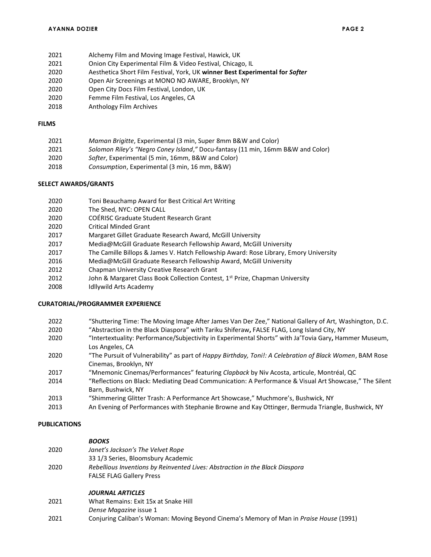- 2021 Alchemy Film and Moving Image Festival, Hawick, UK
- Onion City Experimental Film & Video Festival, Chicago, IL
- 2020 Aesthetica Short Film Festival, York, UK **winner Best Experimental for** *Softer*
- Open Air Screenings at MONO NO AWARE, Brooklyn, NY
- Open City Docs Film Festival, London, UK
- Femme Film Festival, Los Angeles, CA
- 2018 Anthology Film Archives

## **FILMS**

| 2021 | Maman Brigitte, Experimental (3 min, Super 8mm B&W and Color) |  |  |  |  |  |
|------|---------------------------------------------------------------|--|--|--|--|--|
| ---- |                                                               |  |  |  |  |  |

- *Solomon Riley's "Negro Coney Island*,*"* Docu-fantasy (11 min, 16mm B&W and Color)
- *Softer*, Experimental (5 min, 16mm, B&W and Color)
- *Consumption*, Experimental (3 min, 16 mm, B&W)

## **SELECT AWARDS/GRANTS**

- Toni Beauchamp Award for Best Critical Art Writing
- The Shed, NYC: OPEN CALL
- COÉRISC Graduate Student Research Grant
- Critical Minded Grant
- Margaret Gillet Graduate Research Award, McGill University
- Media@McGill Graduate Research Fellowship Award, McGill University
- The Camille Billops & James V. Hatch Fellowship Award: Rose Library, Emory University
- Media@McGill Graduate Research Fellowship Award, McGill University
- Chapman University Creative Research Grant
- 2012 John & Margaret Class Book Collection Contest, 1<sup>st</sup> Prize, Chapman University
- Idllywild Arts Academy

#### **CURATORIAL/PROGRAMMER EXPERIENCE**

 "Shuttering Time: The Moving Image After James Van Der Zee," National Gallery of Art, Washington, D.C. "Abstraction in the Black Diaspora" with Tariku Shiferaw**,** FALSE FLAG, Long Island City, NY "Intertextuality: Performance/Subjectivity in Experimental Shorts" with Ja'Tovia Gary**,** Hammer Museum, Los Angeles, CA "The Pursuit of Vulnerability" as part of *Happy Birthday, Toni!: A Celebration of Black Women*, BAM Rose Cinemas, Brooklyn, NY "Mnemonic Cinemas/Performances" featuring *Clapback* by Niv Acosta, articule, Montréal, QC "Reflections on Black: Mediating Dead Communication: A Performance & Visual Art Showcase," The Silent Barn, Bushwick, NY "Shimmering Glitter Trash: A Performance Art Showcase," Muchmore's, Bushwick, NY An Evening of Performances with Stephanie Browne and Kay Ottinger, Bermuda Triangle, Bushwick, NY

#### **PUBLICATIONS**

#### *BOOKS*

| 2020    | Janet's Jackson's The Velvet Rope<br>33 1/3 Series, Bloomsbury Academic                                         |  |
|---------|-----------------------------------------------------------------------------------------------------------------|--|
| 2020    | Rebellious Inventions by Reinvented Lives: Abstraction in the Black Diaspora<br><b>FALSE FLAG Gallery Press</b> |  |
| ิ วิกว1 | <b>JOURNAL ARTICLES</b><br>M/hat Ramains: Evit 15v at Snaka Hill                                                |  |

- What Remains: Exit 15x at Snake Hill *Dense Magazine* issue 1
- Conjuring Caliban's Woman: Moving Beyond Cinema's Memory of Man in *Praise House* (1991)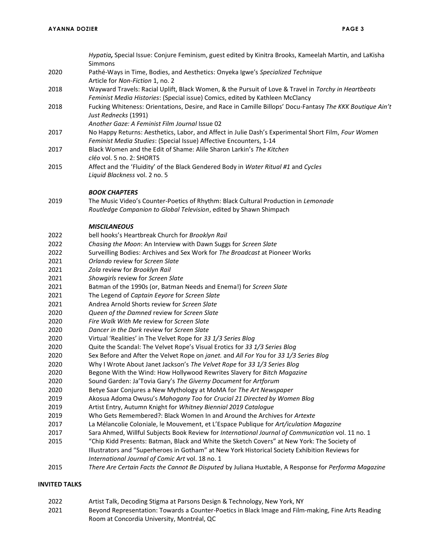|      | Hypatia, Special Issue: Conjure Feminism, guest edited by Kinitra Brooks, Kameelah Martin, and LaKisha                                                                               |
|------|--------------------------------------------------------------------------------------------------------------------------------------------------------------------------------------|
|      | Simmons                                                                                                                                                                              |
| 2020 | Pathé-Ways in Time, Bodies, and Aesthetics: Onyeka Igwe's Specialized Technique                                                                                                      |
|      | Article for Non-Fiction 1, no. 2                                                                                                                                                     |
| 2018 | Wayward Travels: Racial Uplift, Black Women, & the Pursuit of Love & Travel in Torchy in Heartbeats<br>Feminist Media Histories: (Special issue) Comics, edited by Kathleen McClancy |
| 2018 | Fucking Whiteness: Orientations, Desire, and Race in Camille Billops' Docu-Fantasy The KKK Boutique Ain't                                                                            |
|      | Just Rednecks (1991)                                                                                                                                                                 |
|      | Another Gaze: A Feminist Film Journal Issue 02                                                                                                                                       |
| 2017 | No Happy Returns: Aesthetics, Labor, and Affect in Julie Dash's Experimental Short Film, Four Women                                                                                  |
|      | Feminist Media Studies: (Special Issue) Affective Encounters, 1-14                                                                                                                   |
| 2017 | Black Women and the Edit of Shame: Alile Sharon Larkin's The Kitchen                                                                                                                 |
|      | cléo vol. 5 no. 2: SHORTS                                                                                                                                                            |
| 2015 | Affect and the 'Fluidity' of the Black Gendered Body in Water Ritual #1 and Cycles                                                                                                   |
|      | Liquid Blackness vol. 2 no. 5                                                                                                                                                        |
|      | <b>BOOK CHAPTERS</b>                                                                                                                                                                 |
| 2019 | The Music Video's Counter-Poetics of Rhythm: Black Cultural Production in Lemonade                                                                                                   |
|      | Routledge Companion to Global Television, edited by Shawn Shimpach                                                                                                                   |
|      | <b>MISCILANEOUS</b>                                                                                                                                                                  |
| 2022 | bell hooks's Heartbreak Church for Brooklyn Rail                                                                                                                                     |
| 2022 | Chasing the Moon: An Interview with Dawn Suggs for Screen Slate                                                                                                                      |
| 2022 | Surveilling Bodies: Archives and Sex Work for The Broadcast at Pioneer Works                                                                                                         |
| 2021 | Orlando review for Screen Slate                                                                                                                                                      |
| 2021 | Zola review for Brooklyn Rail                                                                                                                                                        |
| 2021 | Showgirls review for Screen Slate                                                                                                                                                    |
| 2021 | Batman of the 1990s (or, Batman Needs and Enema!) for Screen Slate                                                                                                                   |
| 2021 | The Legend of Captain Eeyore for Screen Slate                                                                                                                                        |
| 2021 | Andrea Arnold Shorts review for Screen Slate                                                                                                                                         |
| 2020 | Queen of the Damned review for Screen Slate                                                                                                                                          |
| 2020 | Fire Walk With Me review for Screen Slate                                                                                                                                            |
| 2020 | Dancer in the Dark review for Screen Slate                                                                                                                                           |
| 2020 | Virtual 'Realities' in The Velvet Rope for 33 1/3 Series Blog                                                                                                                        |
| 2020 | Quite the Scandal: The Velvet Rope's Visual Erotics for 33 1/3 Series Blog                                                                                                           |
| 2020 | Sex Before and After the Velvet Rope on janet. and All For You for 33 1/3 Series Blog                                                                                                |
| 2020 | Why I Wrote About Janet Jackson's The Velvet Rope for 33 1/3 Series Blog                                                                                                             |
| 2020 | Begone With the Wind: How Hollywood Rewrites Slavery for Bitch Magazine                                                                                                              |
| 2020 | Sound Garden: Ja'Tovia Gary's The Giverny Document for Artforum                                                                                                                      |
| 2020 | Betye Saar Conjures a New Mythology at MoMA for The Art Newspaper                                                                                                                    |
| 2019 | Akosua Adoma Owusu's Mahogany Too for Crucial 21 Directed by Women Blog                                                                                                              |
| 2019 | Artist Entry, Autumn Knight for Whitney Biennial 2019 Catalogue                                                                                                                      |
| 2019 | Who Gets Remembered?: Black Women In and Around the Archives for Artexte                                                                                                             |
| 2017 | La Mélancolie Coloniale, le Mouvement, et L'Espace Publique for Art/iculation Magazine                                                                                               |
| 2017 | Sara Ahmed, Willful Subjects Book Review for International Journal of Communication vol. 11 no. 1                                                                                    |
| 2015 | "Chip Kidd Presents: Batman, Black and White the Sketch Covers" at New York: The Society of                                                                                          |
|      | Illustrators and "Superheroes in Gotham" at New York Historical Society Exhibition Reviews for                                                                                       |
|      | International Journal of Comic Art vol. 18 no. 1                                                                                                                                     |
| 2015 | There Are Certain Facts the Cannot Be Disputed by Juliana Huxtable, A Response for Performa Magazine                                                                                 |

# **INVITED TALKS**

 Artist Talk, Decoding Stigma at Parsons Design & Technology, New York, NY Beyond Representation: Towards a Counter-Poetics in Black Image and Film-making, Fine Arts Reading Room at Concordia University, Montréal, QC